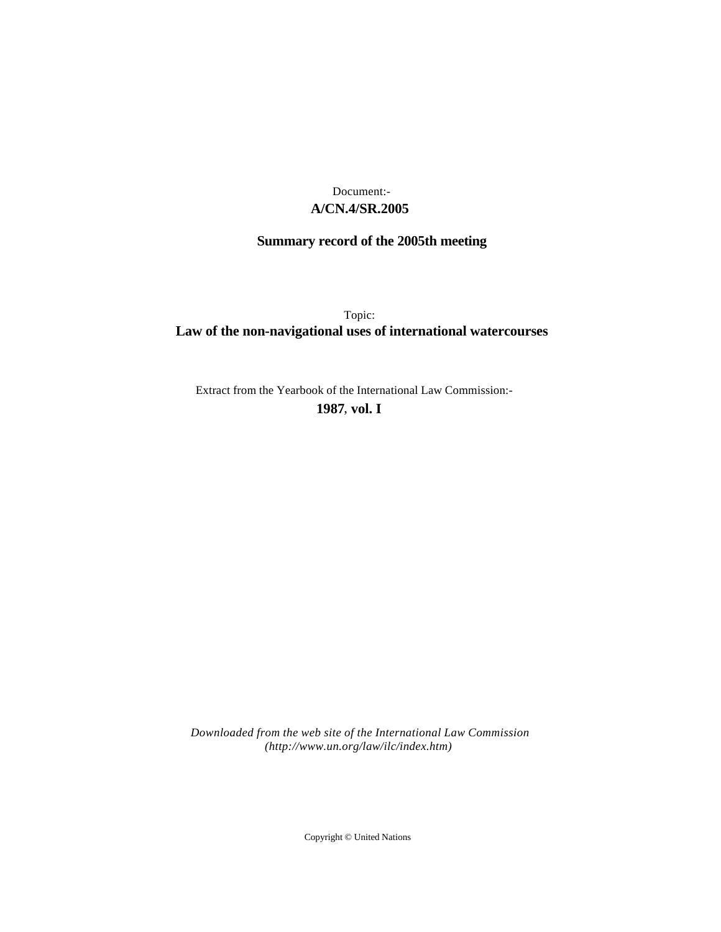## **A/CN.4/SR.2005** Document:-

# **Summary record of the 2005th meeting**

Topic: **Law of the non-navigational uses of international watercourses**

Extract from the Yearbook of the International Law Commission:-

**1987** , **vol. I**

*Downloaded from the web site of the International Law Commission (http://www.un.org/law/ilc/index.htm)*

Copyright © United Nations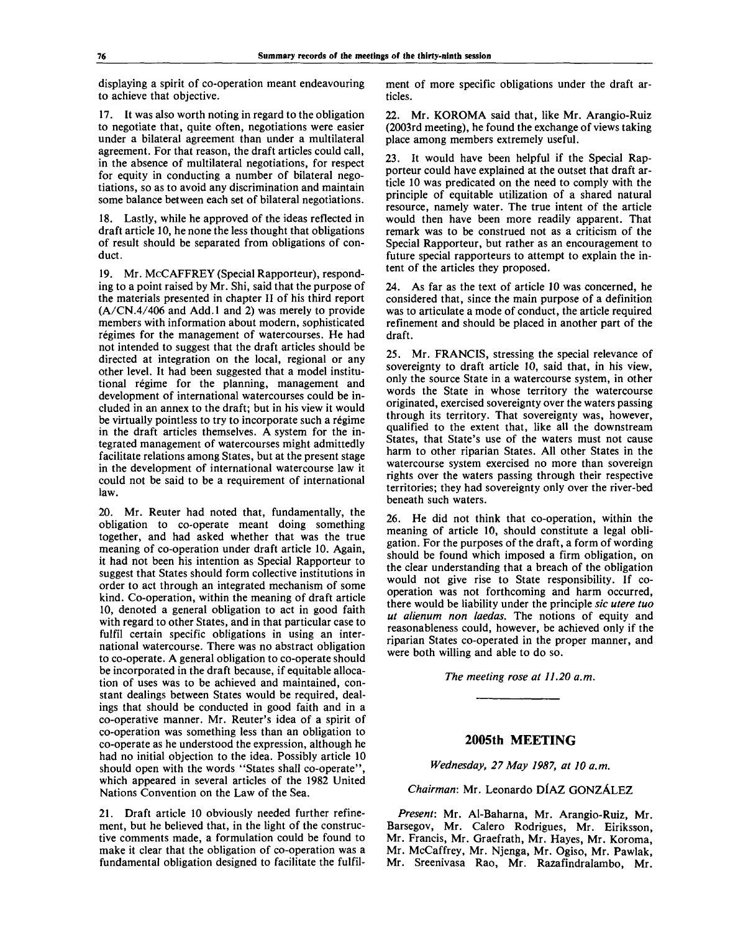displaying a spirit of co-operation meant endeavouring to achieve that objective.

17. It was also worth noting in regard to the obligation to negotiate that, quite often, negotiations were easier under a bilateral agreement than under a multilateral agreement. For that reason, the draft articles could call, in the absence of multilateral negotiations, for respect for equity in conducting a number of bilateral negotiations, so as to avoid any discrimination and maintain some balance between each set of bilateral negotiations.

18. Lastly, while he approved of the ideas reflected in draft article 10, he none the less thought that obligations of result should be separated from obligations of conduct.

19. Mr. McCAFFREY (Special Rapporteur), responding to a point raised by Mr. Shi, said that the purpose of the materials presented in chapter II of his third report (A/CN.4/406 and Add.l and 2) was merely to provide members with information about modern, sophisticated régimes for the management of watercourses. He had not intended to suggest that the draft articles should be directed at integration on the local, regional or any other level. It had been suggested that a model institutional régime for the planning, management and development of international watercourses could be included in an annex to the draft; but in his view it would be virtually pointless to try to incorporate such a regime in the draft articles themselves. A system for the integrated management of watercourses might admittedly facilitate relations among States, but at the present stage in the development of international watercourse law it could not be said to be a requirement of international law.

20. Mr. Reuter had noted that, fundamentally, the obligation to co-operate meant doing something together, and had asked whether that was the true meaning of co-operation under draft article 10. Again, it had not been his intention as Special Rapporteur to suggest that States should form collective institutions in order to act through an integrated mechanism of some kind. Co-operation, within the meaning of draft article 10, denoted a general obligation to act in good faith with regard to other States, and in that particular case to fulfil certain specific obligations in using an international watercourse. There was no abstract obligation to co-operate. A general obligation to co-operate should be incorporated in the draft because, if equitable allocation of uses was to be achieved and maintained, constant dealings between States would be required, dealings that should be conducted in good faith and in a co-operative manner. Mr. Reuter's idea of a spirit of co-operation was something less than an obligation to co-operate as he understood the expression, although he had no initial objection to the idea. Possibly article 10 should open with the words "States shall co-operate", which appeared in several articles of the 1982 United Nations Convention on the Law of the Sea.

21. Draft article 10 obviously needed further refinement, but he believed that, in the light of the constructive comments made, a formulation could be found to make it clear that the obligation of co-operation was a fundamental obligation designed to facilitate the fulfilment of more specific obligations under the draft articles.

22. Mr. KOROMA said that, like Mr. Arangio-Ruiz (2003rd meeting), he found the exchange of views taking place among members extremely useful.

23. It would have been helpful if the Special Rapporteur could have explained at the outset that draft article 10 was predicated on the need to comply with the principle of equitable utilization of a shared natural resource, namely water. The true intent of the article would then have been more readily apparent. That remark was to be construed not as a criticism of the Special Rapporteur, but rather as an encouragement to future special rapporteurs to attempt to explain the intent of the articles they proposed.

24. As far as the text of article 10 was concerned, he considered that, since the main purpose of a definition was to articulate a mode of conduct, the article required refinement and should be placed in another part of the draft.

25. Mr. FRANCIS, stressing the special relevance of sovereignty to draft article 10, said that, in his view, only the source State in a watercourse system, in other words the State in whose territory the watercourse originated, exercised sovereignty over the waters passing through its territory. That sovereignty was, however, qualified to the extent that, like all the downstream States, that State's use of the waters must not cause harm to other riparian States. All other States in the watercourse system exercised no more than sovereign rights over the waters passing through their respective territories; they had sovereignty only over the river-bed beneath such waters.

26. He did not think that co-operation, within the meaning of article 10, should constitute a legal obligation. For the purposes of the draft, a form of wording should be found which imposed a firm obligation, on the clear understanding that a breach of the obligation would not give rise to State responsibility. If cooperation was not forthcoming and harm occurred, there would be liability under the principle *sic utere tuo ut alienum non laedas.* The notions of equity and reasonableness could, however, be achieved only if the riparian States co-operated in the proper manner, and were both willing and able to do so.

*The meeting rose at 11.20 a.m.*

#### **2005th MEETING**

*Wednesday, 27 May 1987, at 10 a.m.*

### *Chairman:* Mr. Leonardo DIAZ GONZALEZ

*Present:* Mr. Al-Baharna, Mr. Arangio-Ruiz, Mr. Barsegov, Mr. Calero Rodrigues, Mr. Eiriksson, Mr. Francis, Mr. Graefrath, Mr. Hayes, Mr. Koroma, Mr. McCaffrey, Mr. Njenga, Mr. Ogiso, Mr. Pawlak, Mr. Sreenivasa Rao, Mr. Razafindralambo, Mr.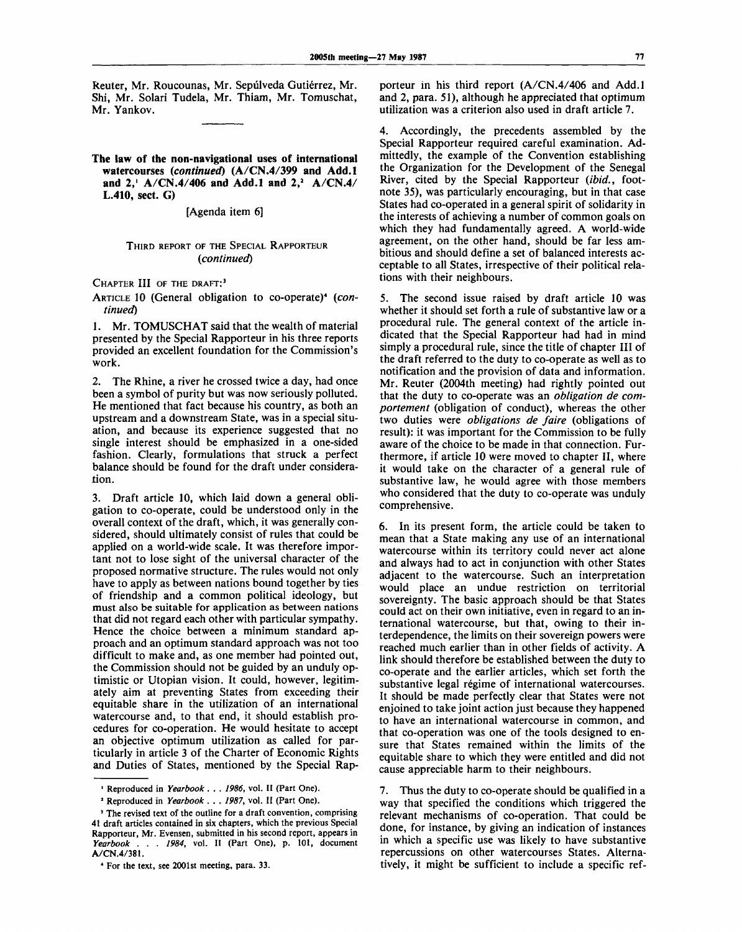Reuter, Mr. Roucounas, Mr. Sepúlveda Gutiérrez, Mr. Shi, Mr. Solari Tudela, Mr. Thiam, Mr. Tomuschat, Mr. Yankov.

**The law of the non-navigational** uses **of international watercourses** *(continued)* **(A/CN.4/399 and Add.l and 2,<sup>1</sup> A/CN.4/406 and Add.l and 2,<sup>2</sup> A/CN.4/ L.410, sect.** G)

[Agenda item 6]

#### THIRD REPORT OF THE SPECIAL RAPPORTEUR *(continued)*

CHAPTER III OF THE DRAFT:<sup>3</sup>

ARTICLE 10 (General obligation to co-operate)<sup>4</sup> (con*tinued)*

1. Mr. TOMUSCHAT said that the wealth of material presented by the Special Rapporteur in his three reports provided an excellent foundation for the Commission's work.

2. The Rhine, a river he crossed twice a day, had once been a symbol of purity but was now seriously polluted. He mentioned that fact because his country, as both an upstream and a downstream State, was in a special situation, and because its experience suggested that no single interest should be emphasized in a one-sided fashion. Clearly, formulations that struck a perfect balance should be found for the draft under consideration.

3. Draft article 10, which laid down a general obligation to co-operate, could be understood only in the overall context of the draft, which, it was generally considered, should ultimately consist of rules that could be applied on a world-wide scale. It was therefore important not to lose sight of the universal character of the proposed normative structure. The rules would not only have to apply as between nations bound together by ties of friendship and a common political ideology, but must also be suitable for application as between nations that did not regard each other with particular sympathy. Hence the choice between a minimum standard approach and an optimum standard approach was not too difficult to make and, as one member had pointed out, the Commission should not be guided by an unduly optimistic or Utopian vision. It could, however, legitimately aim at preventing States from exceeding their equitable share in the utilization of an international watercourse and, to that end, it should establish procedures for co-operation. He would hesitate to accept an objective optimum utilization as called for particularly in article 3 of the Charter of Economic Rights and Duties of States, mentioned by the Special Rapporteur in his third report (A/CN.4/406 and Add.l and 2, para. 51), although he appreciated that optimum utilization was a criterion also used in draft article 7.

4. Accordingly, the precedents assembled by the Special Rapporteur required careful examination. Admittedly, the example of the Convention establishing the Organization for the Development of the Senegal River, cited by the Special Rapporteur *(ibid.,* footnote 35), was particularly encouraging, but in that case States had co-operated in a general spirit of solidarity in the interests of achieving a number of common goals on which they had fundamentally agreed. A world-wide agreement, on the other hand, should be far less ambitious and should define a set of balanced interests acceptable to all States, irrespective of their political relations with their neighbours.

5. The second issue raised by draft article 10 was whether it should set forth a rule of substantive law or a procedural rule. The general context of the article indicated that the Special Rapporteur had had in mind simply a procedural rule, since the title of chapter III of the draft referred to the duty to co-operate as well as to notification and the provision of data and information. Mr. Reuter (2004th meeting) had rightly pointed out that the duty to co-operate was an *obligation de comportement* (obligation of conduct), whereas the other two duties were *obligations de faire* (obligations of result): it was important for the Commission to be fully aware of the choice to be made in that connection. Furthermore, if article 10 were moved to chapter II, where it would take on the character of a general rule of substantive law, he would agree with those members who considered that the duty to co-operate was unduly comprehensive.

6. In its present form, the article could be taken to mean that a State making any use of an international watercourse within its territory could never act alone and always had to act in conjunction with other States adjacent to the watercourse. Such an interpretation would place an undue restriction on territorial sovereignty. The basic approach should be that States could act on their own initiative, even in regard to an international watercourse, but that, owing to their interdependence, the limits on their sovereign powers were reached much earlier than in other fields of activity. A link should therefore be established between the duty to co-operate and the earlier articles, which set forth the substantive legal régime of international watercourses. It should be made perfectly clear that States were not enjoined to take joint action just because they happened to have an international watercourse in common, and that co-operation was one of the tools designed to ensure that States remained within the limits of the equitable share to which they were entitled and did not cause appreciable harm to their neighbours.

7. Thus the duty to co-operate should be qualified in a way that specified the conditions which triggered the relevant mechanisms of co-operation. That could be done, for instance, by giving an indication of instances in which a specific use was likely to have substantive repercussions on other watercourses States. Alternatively, it might be sufficient to include a specific ref-

<sup>1</sup> Reproduced in *Yearbook* . . . *1986,* vol. II (Part One).

*<sup>2</sup>* Reproduced in *Yearbook* . . . *1987,* vol. II (Part One).

<sup>&#</sup>x27; The revised text of the outline for a draft convention, comprising 41 draft articles contained in six chapters, which the previous Special Rapporteur, Mr. Evensen, submitted in his second report, appears in *Yearbook . . . 1984,* vol. II (Part One), p. 101, document A/CN.4/381.

<sup>4</sup> For the text, see 2001st meeting, para. 33.